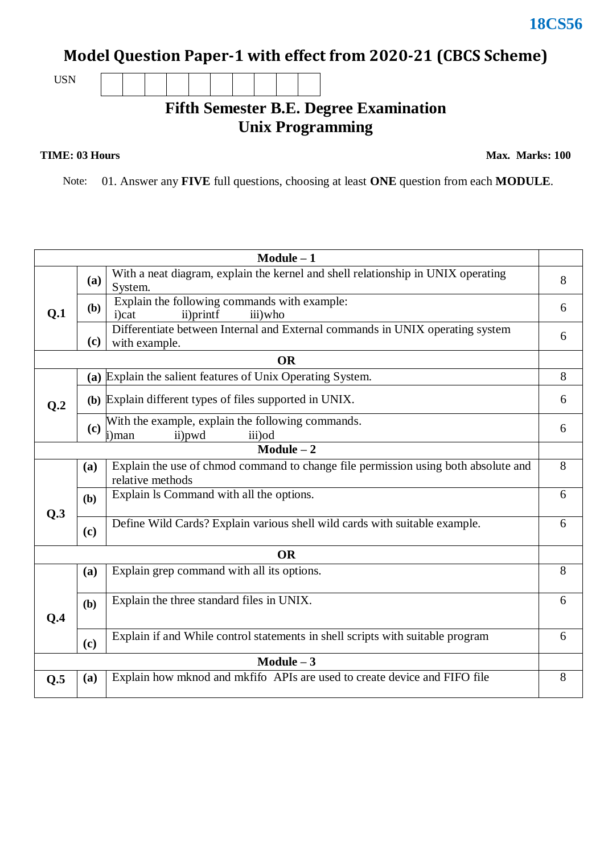## **Model Question Paper-1 with effect from 2020-21 (CBCS Scheme)**

USN

## **Fifth Semester B.E. Degree Examination Unix Programming**

## **TIME: 03 Hours**

**Max. Marks: 100**

Note: 01. Answer any **FIVE** full questions, choosing at least **ONE** question from each **MODULE**.

| $Module - 1$   |              |                                                                                                        |   |  |  |  |  |  |
|----------------|--------------|--------------------------------------------------------------------------------------------------------|---|--|--|--|--|--|
| Q.1            | <b>(a)</b>   | With a neat diagram, explain the kernel and shell relationship in UNIX operating<br>System.            |   |  |  |  |  |  |
|                | ( <b>b</b> ) | Explain the following commands with example:<br>ii)printf<br>iii)who<br>i)cat                          |   |  |  |  |  |  |
|                | (c)          | Differentiate between Internal and External commands in UNIX operating system<br>with example.         | 6 |  |  |  |  |  |
|                |              | <b>OR</b>                                                                                              |   |  |  |  |  |  |
| Q <sub>0</sub> |              | (a) Explain the salient features of Unix Operating System.                                             | 8 |  |  |  |  |  |
|                |              | (b) Explain different types of files supported in UNIX.                                                |   |  |  |  |  |  |
|                | (c)          | With the example, explain the following commands.<br>ii)pwd<br>iii) od<br>i)man                        | 6 |  |  |  |  |  |
| $Module - 2$   |              |                                                                                                        |   |  |  |  |  |  |
|                | (a)          | Explain the use of chmod command to change file permission using both absolute and<br>relative methods |   |  |  |  |  |  |
| Q.3            | (b)          | Explain Is Command with all the options.                                                               |   |  |  |  |  |  |
|                | (c)          | Define Wild Cards? Explain various shell wild cards with suitable example.                             | 6 |  |  |  |  |  |
| <b>OR</b>      |              |                                                                                                        |   |  |  |  |  |  |
|                | (a)          | Explain grep command with all its options.                                                             | 8 |  |  |  |  |  |
| Q.4            | (b)          | Explain the three standard files in UNIX.                                                              |   |  |  |  |  |  |
|                | (c)          | Explain if and While control statements in shell scripts with suitable program                         | 6 |  |  |  |  |  |
| Module $-3$    |              |                                                                                                        |   |  |  |  |  |  |
| Q.5            | (a)          | Explain how mknod and mkfifo APIs are used to create device and FIFO file                              | 8 |  |  |  |  |  |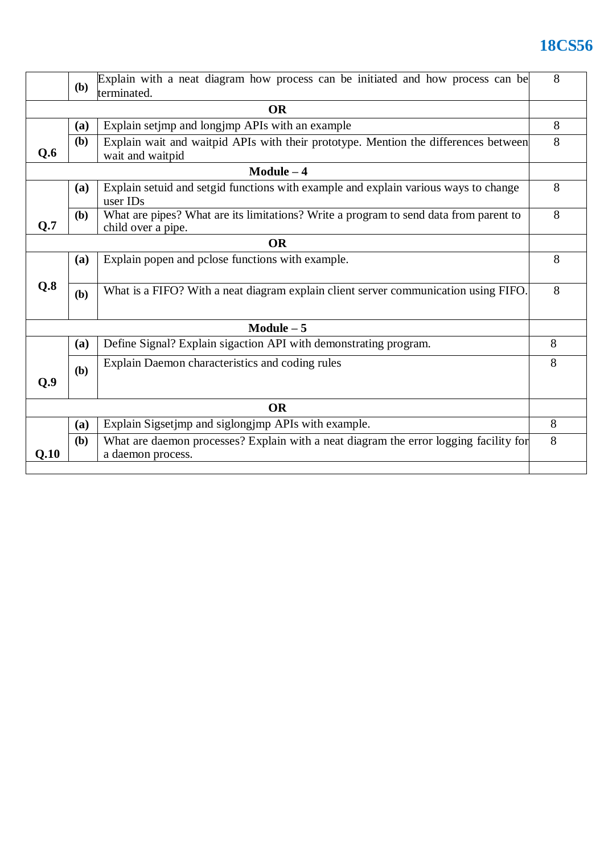## **18CS56**

|              | Explain with a neat diagram how process can be initiated and how process can be<br><b>(b)</b><br>terminated. |                                                                                                             |   |  |  |  |  |
|--------------|--------------------------------------------------------------------------------------------------------------|-------------------------------------------------------------------------------------------------------------|---|--|--|--|--|
| <b>OR</b>    |                                                                                                              |                                                                                                             |   |  |  |  |  |
|              | (a)                                                                                                          | Explain setimp and longimp APIs with an example                                                             | 8 |  |  |  |  |
| Q.6          | (b)                                                                                                          | Explain wait and waitpid APIs with their prototype. Mention the differences between<br>wait and waitpid     | 8 |  |  |  |  |
| $Module - 4$ |                                                                                                              |                                                                                                             |   |  |  |  |  |
|              | (a)                                                                                                          | Explain setuid and setgid functions with example and explain various ways to change<br>user IDs             | 8 |  |  |  |  |
| Q.7          | ( <b>b</b> )                                                                                                 | What are pipes? What are its limitations? Write a program to send data from parent to<br>child over a pipe. | 8 |  |  |  |  |
| <b>OR</b>    |                                                                                                              |                                                                                                             |   |  |  |  |  |
|              | (a)                                                                                                          | Explain popen and pclose functions with example.                                                            | 8 |  |  |  |  |
| Q.8          | (b)                                                                                                          | What is a FIFO? With a neat diagram explain client server communication using FIFO.                         |   |  |  |  |  |
| $Module - 5$ |                                                                                                              |                                                                                                             |   |  |  |  |  |
|              | (a)                                                                                                          | Define Signal? Explain sigaction API with demonstrating program.                                            | 8 |  |  |  |  |
| Q.9          | (b)                                                                                                          | Explain Daemon characteristics and coding rules                                                             | 8 |  |  |  |  |
| <b>OR</b>    |                                                                                                              |                                                                                                             |   |  |  |  |  |
|              | (a)                                                                                                          | Explain Sigsetjmp and siglongjmp APIs with example.                                                         | 8 |  |  |  |  |
| Q.10         | (b)                                                                                                          | What are daemon processes? Explain with a neat diagram the error logging facility for<br>a daemon process.  | 8 |  |  |  |  |
|              |                                                                                                              |                                                                                                             |   |  |  |  |  |